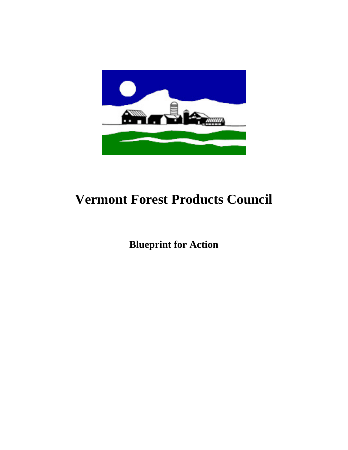

## **Vermont Forest Products Council**

**Blueprint for Action**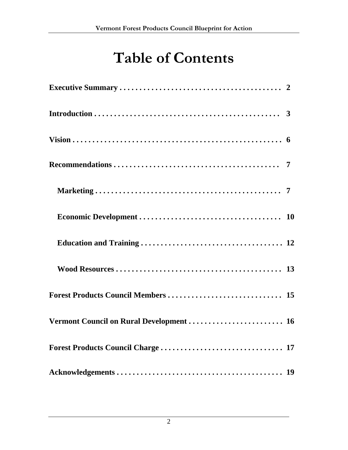# **Table of Contents**

| Vermont Council on Rural Development  16 |  |
|------------------------------------------|--|
|                                          |  |
|                                          |  |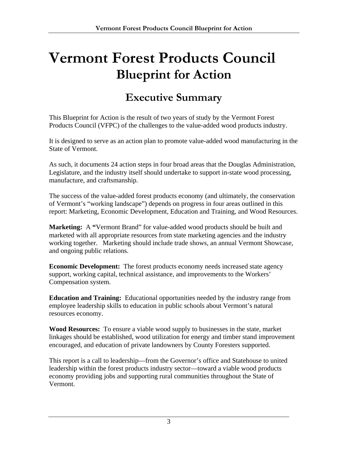# **Vermont Forest Products Council Blueprint for Action**

### **Executive Summary**

This Blueprint for Action is the result of two years of study by the Vermont Forest Products Council (VFPC) of the challenges to the value-added wood products industry.

It is designed to serve as an action plan to promote value-added wood manufacturing in the State of Vermont.

As such, it documents 24 action steps in four broad areas that the Douglas Administration, Legislature, and the industry itself should undertake to support in-state wood processing, manufacture, and craftsmanship.

The success of the value-added forest products economy (and ultimately, the conservation of Vermont's "working landscape") depends on progress in four areas outlined in this report: Marketing, Economic Development, Education and Training, and Wood Resources.

**Marketing:** A **"**Vermont Brand" for value-added wood products should be built and marketed with all appropriate resources from state marketing agencies and the industry working together. Marketing should include trade shows, an annual Vermont Showcase, and ongoing public relations.

**Economic Development:** The forest products economy needs increased state agency support, working capital, technical assistance, and improvements to the Workers' Compensation system.

**Education and Training:** Educational opportunities needed by the industry range from employee leadership skills to education in public schools about Vermont's natural resources economy.

**Wood Resources:** To ensure a viable wood supply to businesses in the state, market linkages should be established, wood utilization for energy and timber stand improvement encouraged, and education of private landowners by County Foresters supported.

This report is a call to leadership—from the Governor's office and Statehouse to united leadership within the forest products industry sector—toward a viable wood products economy providing jobs and supporting rural communities throughout the State of Vermont.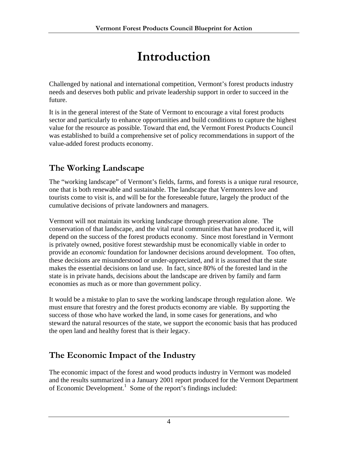## **Introduction**

Challenged by national and international competition, Vermont's forest products industry needs and deserves both public and private leadership support in order to succeed in the future.

It is in the general interest of the State of Vermont to encourage a vital forest products sector and particularly to enhance opportunities and build conditions to capture the highest value for the resource as possible. Toward that end, the Vermont Forest Products Council was established to build a comprehensive set of policy recommendations in support of the value-added forest products economy.

### **The Working Landscape**

The "working landscape" of Vermont's fields, farms, and forests is a unique rural resource, one that is both renewable and sustainable. The landscape that Vermonters love and tourists come to visit is, and will be for the foreseeable future, largely the product of the cumulative decisions of private landowners and managers.

Vermont will not maintain its working landscape through preservation alone. The conservation of that landscape, and the vital rural communities that have produced it, will depend on the success of the forest products economy. Since most forestland in Vermont is privately owned, positive forest stewardship must be economically viable in order to provide an *economic* foundation for landowner decisions around development. Too often, these decisions are misunderstood or under-appreciated, and it is assumed that the state makes the essential decisions on land use. In fact, since 80% of the forested land in the state is in private hands, decisions about the landscape are driven by family and farm economies as much as or more than government policy.

It would be a mistake to plan to save the working landscape through regulation alone. We must ensure that forestry and the forest products economy are viable. By supporting the success of those who have worked the land, in some cases for generations, and who steward the natural resources of the state, we support the economic basis that has produced the open land and healthy forest that is their legacy.

### **The Economic Impact of the Industry**

The economic impact of the forest and wood products industry in Vermont was modeled and the results summarized in a January 2001 report produced for the Vermont Department of Economic Development.<sup>1</sup> Some of the report's findings included: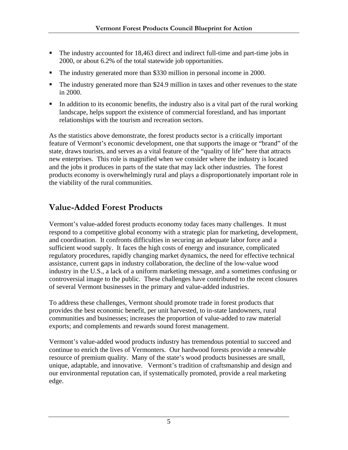- The industry accounted for 18,463 direct and indirect full-time and part-time jobs in 2000, or about 6.2% of the total statewide job opportunities.
- The industry generated more than \$330 million in personal income in 2000.
- The industry generated more than \$24.9 million in taxes and other revenues to the state in 2000.
- In addition to its economic benefits, the industry also is a vital part of the rural working landscape, helps support the existence of commercial forestland, and has important relationships with the tourism and recreation sectors.

As the statistics above demonstrate, the forest products sector is a critically important feature of Vermont's economic development, one that supports the image or "brand" of the state, draws tourists, and serves as a vital feature of the "quality of life" here that attracts new enterprises. This role is magnified when we consider where the industry is located and the jobs it produces in parts of the state that may lack other industries. The forest products economy is overwhelmingly rural and plays a disproportionately important role in the viability of the rural communities.

### **Value-Added Forest Products**

Vermont's value-added forest products economy today faces many challenges. It must respond to a competitive global economy with a strategic plan for marketing, development, and coordination. It confronts difficulties in securing an adequate labor force and a sufficient wood supply. It faces the high costs of energy and insurance, complicated regulatory procedures, rapidly changing market dynamics, the need for effective technical assistance, current gaps in industry collaboration, the decline of the low-value wood industry in the U.S., a lack of a uniform marketing message, and a sometimes confusing or controversial image to the public. These challenges have contributed to the recent closures of several Vermont businesses in the primary and value-added industries.

To address these challenges, Vermont should promote trade in forest products that provides the best economic benefit, per unit harvested, to in-state landowners, rural communities and businesses; increases the proportion of value-added to raw material exports; and complements and rewards sound forest management.

Vermont's value-added wood products industry has tremendous potential to succeed and continue to enrich the lives of Vermonters. Our hardwood forests provide a renewable resource of premium quality. Many of the state's wood products businesses are small, unique, adaptable, and innovative. Vermont's tradition of craftsmanship and design and our environmental reputation can, if systematically promoted, provide a real marketing edge.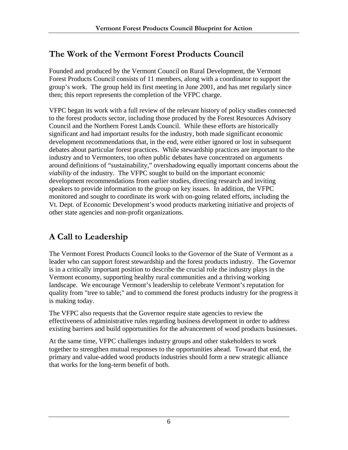### **The Work of the Vermont Forest Products Council**

Founded and produced by the Vermont Council on Rural Development, the Vermont Forest Products Council consists of 11 members, along with a coordinator to support the group's work. The group held its first meeting in June 2001, and has met regularly since then; this report represents the completion of the VFPC charge.

VFPC began its work with a full review of the relevant history of policy studies connected to the forest products sector, including those produced by the Forest Resources Advisory Council and the Northern Forest Lands Council. While these efforts are historically significant and had important results for the industry, both made significant economic development recommendations that, in the end, were either ignored or lost in subsequent debates about particular forest practices. While stewardship practices are important to the industry and to Vermonters, too often public debates have concentrated on arguments around definitions of "sustainability," overshadowing equally important concerns about the *viability* of the industry. The VFPC sought to build on the important economic development recommendations from earlier studies, directing research and inviting speakers to provide information to the group on key issues. In addition, the VFPC monitored and sought to coordinate its work with on-going related efforts, including the Vt. Dept. of Economic Development's wood products marketing initiative and projects of other state agencies and non-profit organizations.

### **A Call to Leadership**

The Vermont Forest Products Council looks to the Governor of the State of Vermont as a leader who can support forest stewardship and the forest products industry. The Governor is in a critically important position to describe the crucial role the industry plays in the Vermont economy, supporting healthy rural communities and a thriving working landscape. We encourage Vermont's leadership to celebrate Vermont's reputation for quality from "tree to table;" and to commend the forest products industry for the progress it is making today.

The VFPC also requests that the Governor require state agencies to review the effectiveness of administrative rules regarding business development in order to address existing barriers and build opportunities for the advancement of wood products businesses.

At the same time, VFPC challenges industry groups and other stakeholders to work together to strengthen mutual responses to the opportunities ahead. Toward that end, the primary and value-added wood products industries should form a new strategic alliance that works for the long-term benefit of both.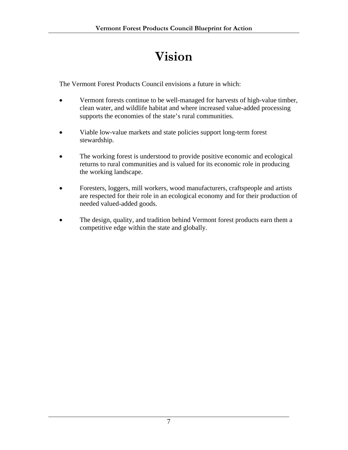## **Vision**

The Vermont Forest Products Council envisions a future in which:

- Vermont forests continue to be well-managed for harvests of high-value timber, clean water, and wildlife habitat and where increased value-added processing supports the economies of the state's rural communities.
- Viable low-value markets and state policies support long-term forest stewardship.
- The working forest is understood to provide positive economic and ecological returns to rural communities and is valued for its economic role in producing the working landscape.
- Foresters, loggers, mill workers, wood manufacturers, craftspeople and artists are respected for their role in an ecological economy and for their production of needed valued-added goods.
- The design, quality, and tradition behind Vermont forest products earn them a competitive edge within the state and globally.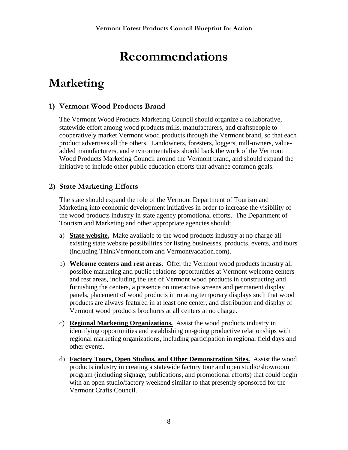## **Recommendations**

### **Marketing**

#### **1) Vermont Wood Products Brand**

The Vermont Wood Products Marketing Council should organize a collaborative, statewide effort among wood products mills, manufacturers, and craftspeople to cooperatively market Vermont wood products through the Vermont brand, so that each product advertises all the others. Landowners, foresters, loggers, mill-owners, valueadded manufacturers, and environmentalists should back the work of the Vermont Wood Products Marketing Council around the Vermont brand, and should expand the initiative to include other public education efforts that advance common goals.

#### **2) State Marketing Efforts**

The state should expand the role of the Vermont Department of Tourism and Marketing into economic development initiatives in order to increase the visibility of the wood products industry in state agency promotional efforts. The Department of Tourism and Marketing and other appropriate agencies should:

- a) **State website.** Make available to the wood products industry at no charge all existing state website possibilities for listing businesses, products, events, and tours (including ThinkVermont.com and Vermontvacation.com).
- b) **Welcome centers and rest areas.** Offer the Vermont wood products industry all possible marketing and public relations opportunities at Vermont welcome centers and rest areas, including the use of Vermont wood products in constructing and furnishing the centers, a presence on interactive screens and permanent display panels, placement of wood products in rotating temporary displays such that wood products are always featured in at least one center, and distribution and display of Vermont wood products brochures at all centers at no charge.
- c) **Regional Marketing Organizations.** Assist the wood products industry in identifying opportunities and establishing on-going productive relationships with regional marketing organizations, including participation in regional field days and other events.
- d) **Factory Tours, Open Studios, and Other Demonstration Sites.** Assist the wood products industry in creating a statewide factory tour and open studio/showroom program (including signage, publications, and promotional efforts) that could begin with an open studio/factory weekend similar to that presently sponsored for the Vermont Crafts Council.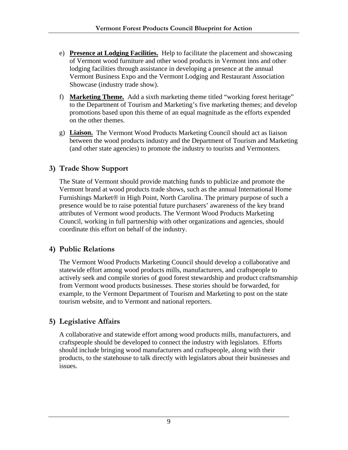- e) **Presence at Lodging Facilities.** Help to facilitate the placement and showcasing of Vermont wood furniture and other wood products in Vermont inns and other lodging facilities through assistance in developing a presence at the annual Vermont Business Expo and the Vermont Lodging and Restaurant Association Showcase (industry trade show).
- f) **Marketing Theme.** Add a sixth marketing theme titled "working forest heritage" to the Department of Tourism and Marketing's five marketing themes; and develop promotions based upon this theme of an equal magnitude as the efforts expended on the other themes.
- g) **Liaison.** The Vermont Wood Products Marketing Council should act as liaison between the wood products industry and the Department of Tourism and Marketing (and other state agencies) to promote the industry to tourists and Vermonters.

#### **3) Trade Show Support**

The State of Vermont should provide matching funds to publicize and promote the Vermont brand at wood products trade shows, such as the annual International Home Furnishings Market® in High Point, North Carolina. The primary purpose of such a presence would be to raise potential future purchasers' awareness of the key brand attributes of Vermont wood products. The Vermont Wood Products Marketing Council, working in full partnership with other organizations and agencies, should coordinate this effort on behalf of the industry.

#### **4) Public Relations**

The Vermont Wood Products Marketing Council should develop a collaborative and statewide effort among wood products mills, manufacturers, and craftspeople to actively seek and compile stories of good forest stewardship and product craftsmanship from Vermont wood products businesses. These stories should be forwarded, for example, to the Vermont Department of Tourism and Marketing to post on the state tourism website, and to Vermont and national reporters.

#### **5) Legislative Affairs**

A collaborative and statewide effort among wood products mills, manufacturers, and craftspeople should be developed to connect the industry with legislators. Efforts should include bringing wood manufacturers and craftspeople, along with their products, to the statehouse to talk directly with legislators about their businesses and issues.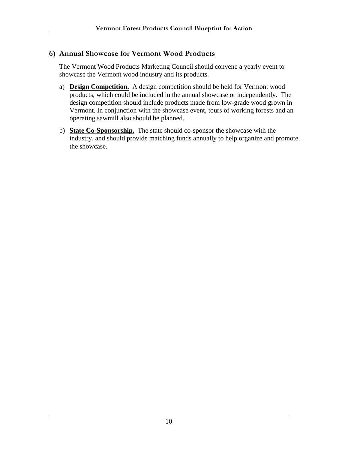#### **6) Annual Showcase for Vermont Wood Products**

The Vermont Wood Products Marketing Council should convene a yearly event to showcase the Vermont wood industry and its products.

- a) **Design Competition.** A design competition should be held for Vermont wood products, which could be included in the annual showcase or independently. The design competition should include products made from low-grade wood grown in Vermont. In conjunction with the showcase event, tours of working forests and an operating sawmill also should be planned.
- b) **State Co-Sponsorship.** The state should co-sponsor the showcase with the industry, and should provide matching funds annually to help organize and promote the showcase.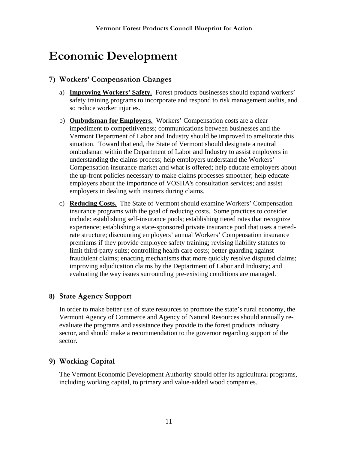### **Economic Development**

#### **7) Workers' Compensation Changes**

- a) **Improving Workers' Safety.** Forest products businesses should expand workers' safety training programs to incorporate and respond to risk management audits, and so reduce worker injuries.
- b) **Ombudsman for Employers.** Workers' Compensation costs are a clear impediment to competitiveness; communications between businesses and the Vermont Department of Labor and Industry should be improved to ameliorate this situation. Toward that end, the State of Vermont should designate a neutral ombudsman within the Department of Labor and Industry to assist employers in understanding the claims process; help employers understand the Workers' Compensation insurance market and what is offered; help educate employers about the up-front policies necessary to make claims processes smoother; help educate employers about the importance of VOSHA's consultation services; and assist employers in dealing with insurers during claims.
- c) **Reducing Costs.** The State of Vermont should examine Workers' Compensation insurance programs with the goal of reducing costs. Some practices to consider include: establishing self-insurance pools; establishing tiered rates that recognize experience; establishing a state-sponsored private insurance pool that uses a tieredrate structure; discounting employers' annual Workers' Compensation insurance premiums if they provide employee safety training; revising liability statutes to limit third-party suits; controlling health care costs; better guarding against fraudulent claims; enacting mechanisms that more quickly resolve disputed claims; improving adjudication claims by the Deptartment of Labor and Industry; and evaluating the way issues surrounding pre-existing conditions are managed.

#### **8) State Agency Support**

In order to make better use of state resources to promote the state's rural economy, the Vermont Agency of Commerce and Agency of Natural Resources should annually reevaluate the programs and assistance they provide to the forest products industry sector, and should make a recommendation to the governor regarding support of the sector.

#### **9) Working Capital**

The Vermont Economic Development Authority should offer its agricultural programs, including working capital, to primary and value-added wood companies.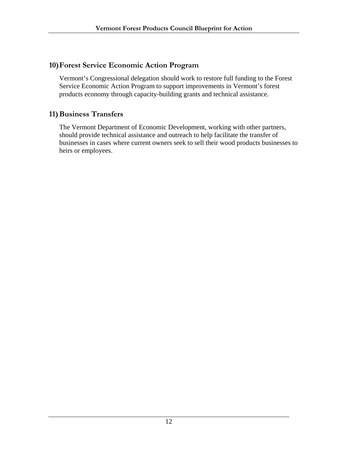#### **10)Forest Service Economic Action Program**

Vermont's Congressional delegation should work to restore full funding to the Forest Service Economic Action Program to support improvements in Vermont's forest products economy through capacity-building grants and technical assistance.

#### **11)Business Transfers**

The Vermont Department of Economic Development, working with other partners, should provide technical assistance and outreach to help facilitate the transfer of businesses in cases where current owners seek to sell their wood products businesses to heirs or employees.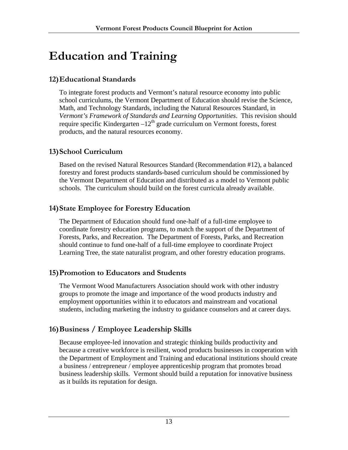## **Education and Training**

#### **12)Educational Standards**

To integrate forest products and Vermont's natural resource economy into public school curriculums, the Vermont Department of Education should revise the Science, Math, and Technology Standards, including the Natural Resources Standard, in *Vermont's Framework of Standards and Learning Opportunities*. This revision should require specific Kindergarten  $-12^{th}$  grade curriculum on Vermont forests, forest products, and the natural resources economy.

#### **13)School Curriculum**

Based on the revised Natural Resources Standard (Recommendation #12), a balanced forestry and forest products standards-based curriculum should be commissioned by the Vermont Department of Education and distributed as a model to Vermont public schools. The curriculum should build on the forest curricula already available.

#### **14)State Employee for Forestry Education**

The Department of Education should fund one-half of a full-time employee to coordinate forestry education programs, to match the support of the Department of Forests, Parks, and Recreation. The Department of Forests, Parks, and Recreation should continue to fund one-half of a full-time employee to coordinate Project Learning Tree, the state naturalist program, and other forestry education programs.

#### **15)Promotion to Educators and Students**

The Vermont Wood Manufacturers Association should work with other industry groups to promote the image and importance of the wood products industry and employment opportunities within it to educators and mainstream and vocational students, including marketing the industry to guidance counselors and at career days.

### **16)Business / Employee Leadership Skills**

Because employee-led innovation and strategic thinking builds productivity and because a creative workforce is resilient, wood products businesses in cooperation with the Department of Employment and Training and educational institutions should create a business / entrepreneur / employee apprenticeship program that promotes broad business leadership skills. Vermont should build a reputation for innovative business as it builds its reputation for design.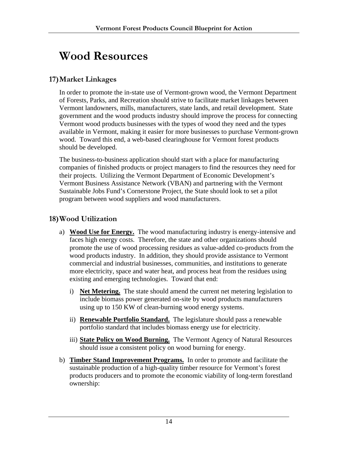### **Wood Resources**

#### **17)Market Linkages**

In order to promote the in-state use of Vermont-grown wood, the Vermont Department of Forests, Parks, and Recreation should strive to facilitate market linkages between Vermont landowners, mills, manufacturers, state lands, and retail development. State government and the wood products industry should improve the process for connecting Vermont wood products businesses with the types of wood they need and the types available in Vermont, making it easier for more businesses to purchase Vermont-grown wood. Toward this end, a web-based clearinghouse for Vermont forest products should be developed.

The business-to-business application should start with a place for manufacturing companies of finished products or project managers to find the resources they need for their projects. Utilizing the Vermont Department of Economic Development's Vermont Business Assistance Network (VBAN) and partnering with the Vermont Sustainable Jobs Fund's Cornerstone Project, the State should look to set a pilot program between wood suppliers and wood manufacturers.

#### **18)Wood Utilization**

- a) **Wood Use for Energy.** The wood manufacturing industry is energy-intensive and faces high energy costs. Therefore, the state and other organizations should promote the use of wood processing residues as value-added co-products from the wood products industry. In addition, they should provide assistance to Vermont commercial and industrial businesses, communities, and institutions to generate more electricity, space and water heat, and process heat from the residues using existing and emerging technologies. Toward that end:
	- i) **Net Metering.** The state should amend the current net metering legislation to include biomass power generated on-site by wood products manufacturers using up to 150 KW of clean-burning wood energy systems.
	- ii) **Renewable Portfolio Standard.** The legislature should pass a renewable portfolio standard that includes biomass energy use for electricity.
	- iii) **State Policy on Wood Burning.** The Vermont Agency of Natural Resources should issue a consistent policy on wood burning for energy.
- b) **Timber Stand Improvement Programs.** In order to promote and facilitate the sustainable production of a high-quality timber resource for Vermont's forest products producers and to promote the economic viability of long-term forestland ownership: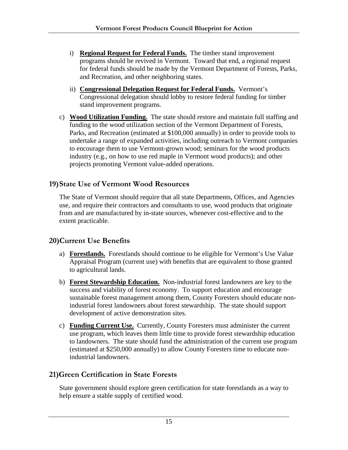- i) **Regional Request for Federal Funds.** The timber stand improvement programs should be revived in Vermont. Toward that end, a regional request for federal funds should be made by the Vermont Department of Forests, Parks, and Recreation, and other neighboring states.
- ii) **Congressional Delegation Request for Federal Funds.** Vermont's Congressional delegation should lobby to restore federal funding for timber stand improvement programs.
- c) **Wood Utilization Funding.** The state should restore and maintain full staffing and funding to the wood utilization section of the Vermont Department of Forests, Parks, and Recreation (estimated at \$100,000 annually) in order to provide tools to undertake a range of expanded activities, including outreach to Vermont companies to encourage them to use Vermont-grown wood; seminars for the wood products industry (e.g., on how to use red maple in Vermont wood products); and other projects promoting Vermont value-added operations.

#### **19)State Use of Vermont Wood Resources**

The State of Vermont should require that all state Departments, Offices, and Agencies use, and require their contractors and consultants to use, wood products that originate from and are manufactured by in-state sources, whenever cost-effective and to the extent practicable.

#### **20)Current Use Benefits**

- a) **Forestlands.** Forestlands should continue to be eligible for Vermont's Use Value Appraisal Program (current use) with benefits that are equivalent to those granted to agricultural lands.
- b) **Forest Stewardship Education.** Non-industrial forest landowners are key to the success and viability of forest economy. To support education and encourage sustainable forest management among them, County Foresters should educate nonindustrial forest landowners about forest stewardship. The state should support development of active demonstration sites.
- c) **Funding Current Use.** Currently, County Foresters must administer the current use program, which leaves them little time to provide forest stewardship education to landowners. The state should fund the administration of the current use program (estimated at \$250,000 annually) to allow County Foresters time to educate nonindustrial landowners.

#### **21)Green Certification in State Forests**

State government should explore green certification for state forestlands as a way to help ensure a stable supply of certified wood.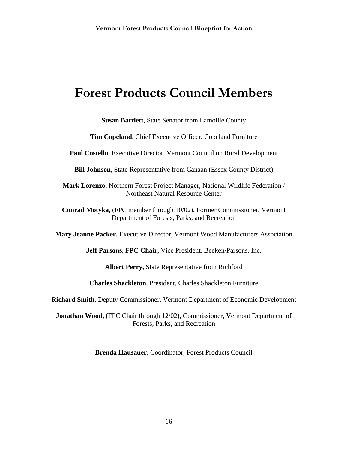### **Forest Products Council Members**

**Susan Bartlett**, State Senator from Lamoille County

**Tim Copeland**, Chief Executive Officer, Copeland Furniture

**Paul Costello**, Executive Director, Vermont Council on Rural Development

**Bill Johnson**, State Representative from Canaan (Essex County District)

**Mark Lorenzo**, Northern Forest Project Manager, National Wildlife Federation / Northeast Natural Resource Center

**Conrad Motyka,** (FPC member through 10/02), Former Commissioner, Vermont Department of Forests, Parks, and Recreation

**Mary Jeanne Packer**, Executive Director, Vermont Wood Manufacturers Association

**Jeff Parsons**, **FPC Chair,** Vice President, Beeken/Parsons, Inc.

**Albert Perry,** State Representative from Richford

**Charles Shackleton**, President, Charles Shackleton Furniture

**Richard Smith**, Deputy Commissioner, Vermont Department of Economic Development

**Jonathan Wood,** (FPC Chair through 12/02), Commissioner, Vermont Department of Forests, Parks, and Recreation

**Brenda Hausauer**, Coordinator, Forest Products Council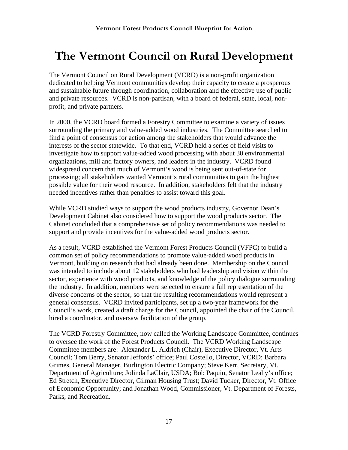### **The Vermont Council on Rural Development**

The Vermont Council on Rural Development (VCRD) is a non-profit organization dedicated to helping Vermont communities develop their capacity to create a prosperous and sustainable future through coordination, collaboration and the effective use of public and private resources. VCRD is non-partisan, with a board of federal, state, local, nonprofit, and private partners.

In 2000, the VCRD board formed a Forestry Committee to examine a variety of issues surrounding the primary and value-added wood industries. The Committee searched to find a point of consensus for action among the stakeholders that would advance the interests of the sector statewide. To that end, VCRD held a series of field visits to investigate how to support value-added wood processing with about 30 environmental organizations, mill and factory owners, and leaders in the industry. VCRD found widespread concern that much of Vermont's wood is being sent out-of-state for processing; all stakeholders wanted Vermont's rural communities to gain the highest possible value for their wood resource. In addition, stakeholders felt that the industry needed incentives rather than penalties to assist toward this goal.

While VCRD studied ways to support the wood products industry, Governor Dean's Development Cabinet also considered how to support the wood products sector. The Cabinet concluded that a comprehensive set of policy recommendations was needed to support and provide incentives for the value-added wood products sector.

As a result, VCRD established the Vermont Forest Products Council (VFPC) to build a common set of policy recommendations to promote value-added wood products in Vermont, building on research that had already been done. Membership on the Council was intended to include about 12 stakeholders who had leadership and vision within the sector, experience with wood products, and knowledge of the policy dialogue surrounding the industry. In addition, members were selected to ensure a full representation of the diverse concerns of the sector, so that the resulting recommendations would represent a general consensus. VCRD invited participants, set up a two-year framework for the Council's work, created a draft charge for the Council, appointed the chair of the Council, hired a coordinator, and oversaw facilitation of the group.

The VCRD Forestry Committee, now called the Working Landscape Committee, continues to oversee the work of the Forest Products Council. The VCRD Working Landscape Committee members are: Alexander L. Aldrich (Chair), Executive Director, Vt. Arts Council; Tom Berry, Senator Jeffords' office; Paul Costello, Director, VCRD; Barbara Grimes, General Manager, Burlington Electric Company; Steve Kerr, Secretary, Vt. Department of Agriculture; Jolinda LaClair, USDA; Bob Paquin, Senator Leahy's office; Ed Stretch, Executive Director, Gilman Housing Trust; David Tucker, Director, Vt. Office of Economic Opportunity; and Jonathan Wood, Commissioner, Vt. Department of Forests, Parks, and Recreation.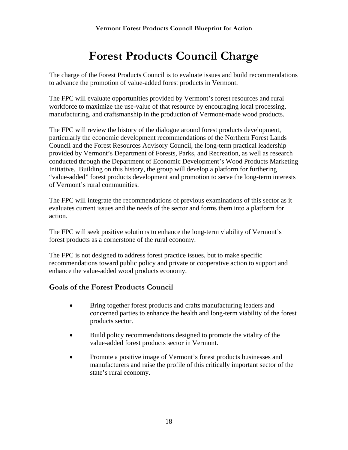### **Forest Products Council Charge**

The charge of the Forest Products Council is to evaluate issues and build recommendations to advance the promotion of value-added forest products in Vermont.

The FPC will evaluate opportunities provided by Vermont's forest resources and rural workforce to maximize the use-value of that resource by encouraging local processing, manufacturing, and craftsmanship in the production of Vermont-made wood products.

The FPC will review the history of the dialogue around forest products development, particularly the economic development recommendations of the Northern Forest Lands Council and the Forest Resources Advisory Council, the long-term practical leadership provided by Vermont's Department of Forests, Parks, and Recreation, as well as research conducted through the Department of Economic Development's Wood Products Marketing Initiative. Building on this history, the group will develop a platform for furthering "value-added" forest products development and promotion to serve the long-term interests of Vermont's rural communities.

The FPC will integrate the recommendations of previous examinations of this sector as it evaluates current issues and the needs of the sector and forms them into a platform for action.

The FPC will seek positive solutions to enhance the long-term viability of Vermont's forest products as a cornerstone of the rural economy.

The FPC is not designed to address forest practice issues, but to make specific recommendations toward public policy and private or cooperative action to support and enhance the value-added wood products economy.

#### **Goals of the Forest Products Council**

- Bring together forest products and crafts manufacturing leaders and concerned parties to enhance the health and long-term viability of the forest products sector.
- Build policy recommendations designed to promote the vitality of the value-added forest products sector in Vermont.
- Promote a positive image of Vermont's forest products businesses and manufacturers and raise the profile of this critically important sector of the state's rural economy.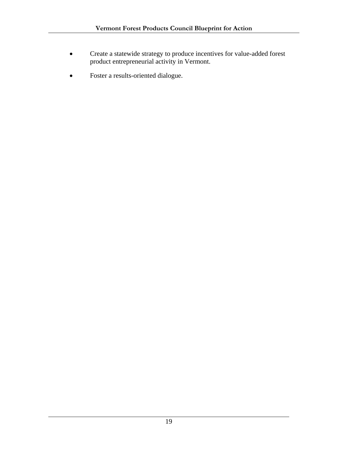- Create a statewide strategy to produce incentives for value-added forest product entrepreneurial activity in Vermont.
- Foster a results-oriented dialogue.